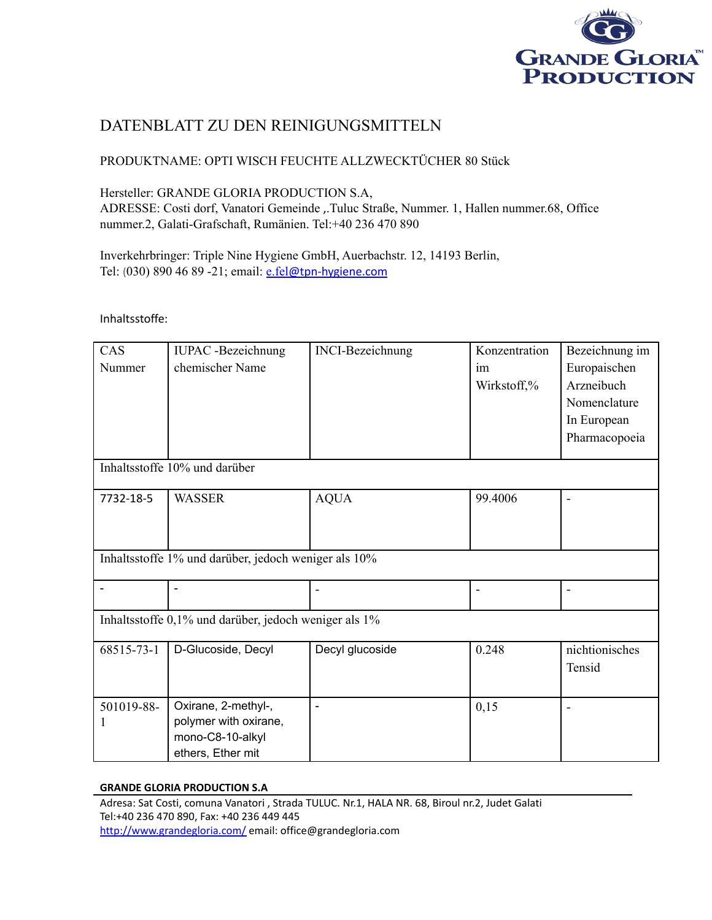

# DATENBLATT ZU DEN REINIGUNGSMITTELN

## PRODUKTNAME: OPTI WISCH FEUCHTE ALLZWECKTÜCHER 80 Stück

## Hersteller: GRANDE GLORIA PRODUCTION S.A,

ADRESSE: Costi dorf, Vanatori Gemeinde ,.Tuluc Straße, Nummer. 1, Hallen nummer.68, Office nummer.2, Galati-Grafschaft, Rumänien. Tel:+40 236 470 890

Inverkehrbringer: Triple Nine Hygiene GmbH, Auerbachstr. 12, 14193 Berlin, Tel: (030) 890 46 89 -21; email: e.fel[@tpn-hygiene.com](mailto:e.fel@tpn-hygiene.com)

Inhaltsstoffe:

| CAS                                                   | <b>IUPAC</b> -Bezeichnung | <b>INCI-Bezeichnung</b>  | Konzentration            | Bezeichnung im               |  |  |  |
|-------------------------------------------------------|---------------------------|--------------------------|--------------------------|------------------------------|--|--|--|
| Nummer                                                | chemischer Name           |                          | im                       | Europaischen                 |  |  |  |
|                                                       |                           |                          | Wirkstoff,%              | Arzneibuch                   |  |  |  |
|                                                       |                           |                          |                          | Nomenclature                 |  |  |  |
|                                                       |                           |                          |                          | In European                  |  |  |  |
|                                                       |                           |                          |                          | Pharmacopoeia                |  |  |  |
|                                                       |                           |                          |                          |                              |  |  |  |
| Inhaltsstoffe 10% und darüber                         |                           |                          |                          |                              |  |  |  |
| 7732-18-5                                             | <b>WASSER</b>             | <b>AQUA</b>              | 99.4006                  |                              |  |  |  |
|                                                       |                           |                          |                          |                              |  |  |  |
|                                                       |                           |                          |                          |                              |  |  |  |
| Inhaltsstoffe 1% und darüber, jedoch weniger als 10%  |                           |                          |                          |                              |  |  |  |
|                                                       |                           |                          |                          |                              |  |  |  |
|                                                       |                           |                          | $\overline{\phantom{a}}$ | $\qquad \qquad \blacksquare$ |  |  |  |
|                                                       |                           |                          |                          |                              |  |  |  |
| Inhaltsstoffe 0,1% und darüber, jedoch weniger als 1% |                           |                          |                          |                              |  |  |  |
| 68515-73-1                                            | D-Glucoside, Decyl        | Decyl glucoside          | 0.248                    | nichtionisches               |  |  |  |
|                                                       |                           |                          |                          | Tensid                       |  |  |  |
|                                                       |                           |                          |                          |                              |  |  |  |
| 501019-88-                                            | Oxirane, 2-methyl-,       | $\overline{\phantom{0}}$ | 0,15                     |                              |  |  |  |
|                                                       | polymer with oxirane,     |                          |                          |                              |  |  |  |
|                                                       | mono-C8-10-alkyl          |                          |                          |                              |  |  |  |
|                                                       | ethers, Ether mit         |                          |                          |                              |  |  |  |

### **GRANDE GLORIA PRODUCTION S.A**

Adresa: Sat Costi, comuna Vanatori , Strada TULUC. Nr.1, HALA NR. 68, Biroul nr.2, Judet Galati Tel:+40 236 470 890, Fax: +40 236 449 445 <http://www.grandegloria.com/> email: office@grandegloria.com